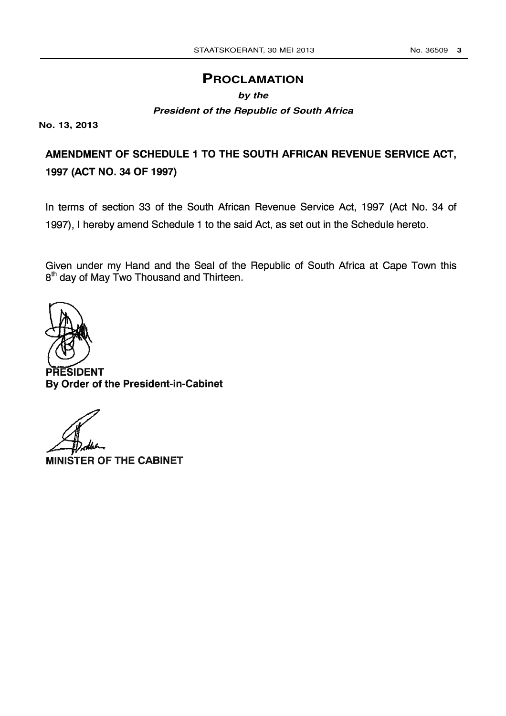# **PROCLAMATION**

#### **by the**

#### **President of the Republic of South Africa**

**No. 13, 2013**

# AMENDMENT OF SCHEDULE 1 TO THE SOUTH AFRICAN REVENUE SERVICE ACT, 1997 (ACT NO. 34 OF 1997)

In terms of section 33 of the South African Revenue Service Act, 1997 (Act No. 34 of 1997), I hereby amend Schedule 1 to the said Act, as set out in the Schedule hereto.

Given under my Hand and the Seal of the Republic of South Africa at Cape Town this 8<sup>th</sup> day of May Two Thousand and Thirteen.

PRESIDENT By Order of the President-in-Cabinet

MINISTER OF THE CABINET